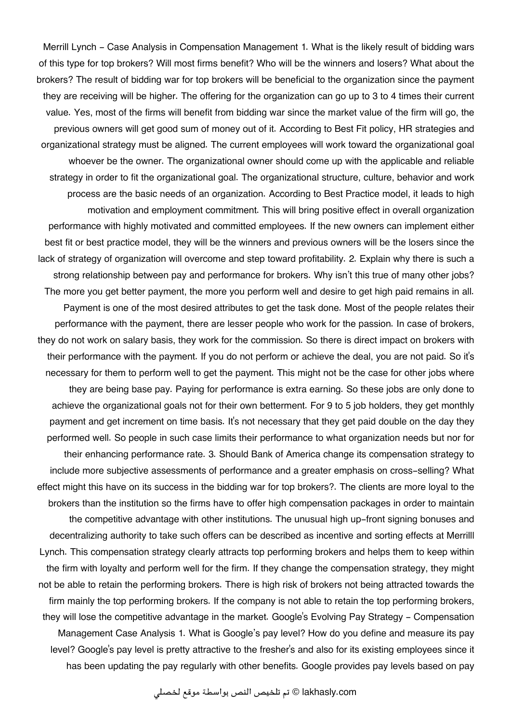Merrill Lynch - Case Analysis in Compensation Management 1. What is the likely result of bidding wars of this type for top brokers? Will most firms benefit? Who will be the winners and losers? What about the brokers? The result of bidding war for top brokers will be beneficial to the organization since the payment they are receiving will be higher. The offering for the organization can go up to 3 to 4 times their current value. Yes, most of the firms will benefit from bidding war since the market value of the firm will go, the previous owners will get good sum of money out of it. According to Best Fit policy, HR strategies and organizational strategy must be aligned. The current employees will work toward the organizational goal whoever be the owner. The organizational owner should come up with the applicable and reliable strategy in order to fit the organizational goal. The organizational structure, culture, behavior and work process are the basic needs of an organization. According to Best Practice model, it leads to high motivation and employment commitment. This will bring positive effect in overall organization performance with highly motivated and committed employees. If the new owners can implement either best fit or best practice model, they will be the winners and previous owners will be the losers since the lack of strategy of organization will overcome and step toward profitability. 2. Explain why there is such a strong relationship between pay and performance for brokers. Why isn't this true of many other jobs? The more you get better payment, the more you perform well and desire to get high paid remains in all. Payment is one of the most desired attributes to get the task done. Most of the people relates their performance with the payment, there are lesser people who work for the passion. In case of brokers, they do not work on salary basis, they work for the commission. So there is direct impact on brokers with their performance with the payment. If you do not perform or achieve the deal, you are not paid. So it's necessary for them to perform well to get the payment. This might not be the case for other jobs where they are being base pay. Paying for performance is extra earning. So these jobs are only done to achieve the organizational goals not for their own betterment. For 9 to 5 job holders, they get monthly payment and get increment on time basis. It's not necessary that they get paid double on the day they performed well. So people in such case limits their performance to what organization needs but nor for their enhancing performance rate. 3. Should Bank of America change its compensation strategy to include more subjective assessments of performance and a greater emphasis on cross-selling? What effect might this have on its success in the bidding war for top brokers?. The clients are more loyal to the brokers than the institution so the firms have to offer high compensation packages in order to maintain the competitive advantage with other institutions. The unusual high up-front signing bonuses and decentralizing authority to take such offers can be described as incentive and sorting effects at Merrilll Lynch. This compensation strategy clearly attracts top performing brokers and helps them to keep within the firm with loyalty and perform well for the firm. If they change the compensation strategy, they might not be able to retain the performing brokers. There is high risk of brokers not being attracted towards the firm mainly the top performing brokers. If the company is not able to retain the top performing brokers, they will lose the competitive advantage in the market. Google's Evolving Pay Strategy - Compensation Management Case Analysis 1. What is Google's pay level? How do you define and measure its pay level? Google's pay level is pretty attractive to the fresher's and also for its existing employees since it has been updating the pay regularly with other benefits. Google provides pay levels based on pay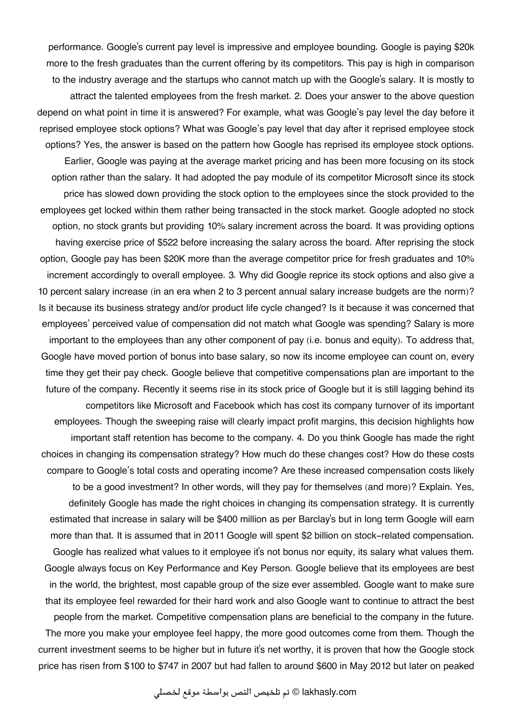performance. Google's current pay level is impressive and employee bounding. Google is paying \$20k more to the fresh graduates than the current offering by its competitors. This pay is high in comparison to the industry average and the startups who cannot match up with the Google's salary. It is mostly to attract the talented employees from the fresh market. 2. Does your answer to the above question depend on what point in time it is answered? For example, what was Google's pay level the day before it reprised employee stock options? What was Google's pay level that day after it reprised employee stock options? Yes, the answer is based on the pattern how Google has reprised its employee stock options.

Earlier, Google was paying at the average market pricing and has been more focusing on its stock option rather than the salary. It had adopted the pay module of its competitor Microsoft since its stock price has slowed down providing the stock option to the employees since the stock provided to the employees get locked within them rather being transacted in the stock market. Google adopted no stock option, no stock grants but providing 10% salary increment across the board. It was providing options having exercise price of \$522 before increasing the salary across the board. After reprising the stock option, Google pay has been \$20K more than the average competitor price for fresh graduates and 10% increment accordingly to overall employee. 3. Why did Google reprice its stock options and also give a 10 percent salary increase (in an era when 2 to 3 percent annual salary increase budgets are the norm)? Is it because its business strategy and/or product life cycle changed? Is it because it was concerned that employees' perceived value of compensation did not match what Google was spending? Salary is more important to the employees than any other component of pay (i.e. bonus and equity). To address that, Google have moved portion of bonus into base salary, so now its income employee can count on, every time they get their pay check. Google believe that competitive compensations plan are important to the future of the company. Recently it seems rise in its stock price of Google but it is still lagging behind its competitors like Microsoft and Facebook which has cost its company turnover of its important employees. Though the sweeping raise will clearly impact profit margins, this decision highlights how important staff retention has become to the company. 4. Do you think Google has made the right choices in changing its compensation strategy? How much do these changes cost? How do these costs compare to Google's total costs and operating income? Are these increased compensation costs likely to be a good investment? In other words, will they pay for themselves (and more)? Explain. Yes, definitely Google has made the right choices in changing its compensation strategy. It is currently estimated that increase in salary will be \$400 million as per Barclay's but in long term Google will earn

more than that. It is assumed that in 2011 Google will spent \$2 billion on stock-related compensation. Google has realized what values to it employee it's not bonus nor equity, its salary what values them. Google always focus on Key Performance and Key Person. Google believe that its employees are best in the world, the brightest, most capable group of the size ever assembled. Google want to make sure that its employee feel rewarded for their hard work and also Google want to continue to attract the best people from the market. Competitive compensation plans are beneficial to the company in the future. The more you make your employee feel happy, the more good outcomes come from them. Though the

current investment seems to be higher but in future it's net worthy, it is proven that how the Google stock price has risen from \$100 to \$747 in 2007 but had fallen to around \$600 in May 2012 but later on peaked